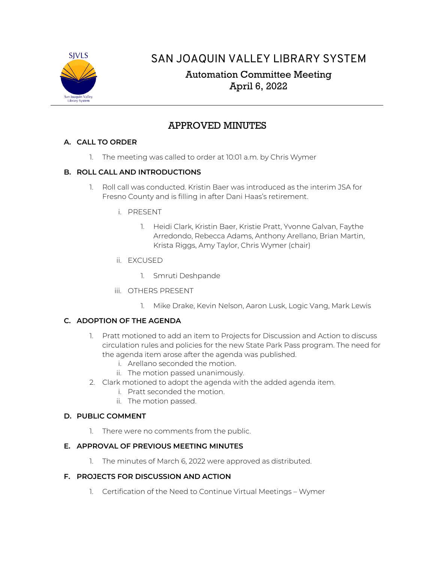

# SAN JOAQUIN VALLEY LIBRARY SYSTEM

# Automation Committee Meeting April 6, 2022

## APPROVED MINUTES

## **A. CALL TO ORDER**

1. The meeting was called to order at 10:01 a.m. by Chris Wymer

## **B. ROLL CALL AND INTRODUCTIONS**

- 1. Roll call was conducted. Kristin Baer was introduced as the interim JSA for Fresno County and is filling in after Dani Haas's retirement.
	- i. PRESENT
		- 1. Heidi Clark, Kristin Baer, Kristie Pratt, Yvonne Galvan, Faythe Arredondo, Rebecca Adams, Anthony Arellano, Brian Martin, Krista Riggs, Amy Taylor, Chris Wymer (chair)
	- ii. EXCUSED
		- 1. Smruti Deshpande
	- iii. OTHERS PRESENT
		- 1. Mike Drake, Kevin Nelson, Aaron Lusk, Logic Vang, Mark Lewis

## **C. ADOPTION OF THE AGENDA**

- 1. Pratt motioned to add an item to Projects for Discussion and Action to discuss circulation rules and policies for the new State Park Pass program. The need for the agenda item arose after the agenda was published.
	- i. Arellano seconded the motion.
	- ii. The motion passed unanimously.
- 2. Clark motioned to adopt the agenda with the added agenda item.
	- i. Pratt seconded the motion.
	- ii. The motion passed.

## **D. PUBLIC COMMENT**

1. There were no comments from the public.

## **E. APPROVAL OF PREVIOUS MEETING MINUTES**

1. The minutes of March 6, 2022 were approved as distributed.

## **F. PROJECTS FOR DISCUSSION AND ACTION**

1. Certification of the Need to Continue Virtual Meetings – Wymer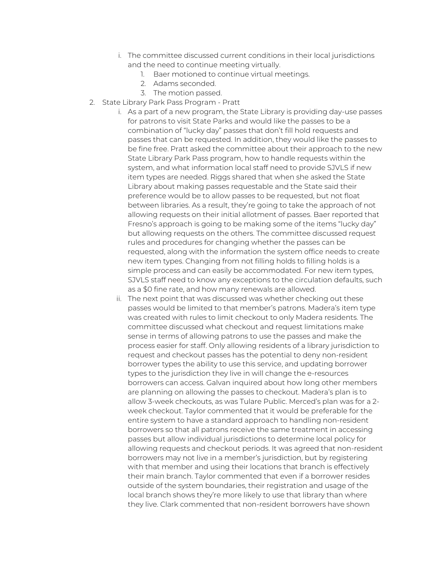- i. The committee discussed current conditions in their local jurisdictions and the need to continue meeting virtually.
	- 1. Baer motioned to continue virtual meetings.
	- 2. Adams seconded.
	- 3. The motion passed.
- 2. State Library Park Pass Program Pratt
	- i. As a part of a new program, the State Library is providing day-use passes for patrons to visit State Parks and would like the passes to be a combination of "lucky day" passes that don't fill hold requests and passes that can be requested. In addition, they would like the passes to be fine free. Pratt asked the committee about their approach to the new State Library Park Pass program, how to handle requests within the system, and what information local staff need to provide SJVLS if new item types are needed. Riggs shared that when she asked the State Library about making passes requestable and the State said their preference would be to allow passes to be requested, but not float between libraries. As a result, they're going to take the approach of not allowing requests on their initial allotment of passes. Baer reported that Fresno's approach is going to be making some of the items "lucky day" but allowing requests on the others. The committee discussed request rules and procedures for changing whether the passes can be requested, along with the information the system office needs to create new item types. Changing from not filling holds to filling holds is a simple process and can easily be accommodated. For new item types, SJVLS staff need to know any exceptions to the circulation defaults, such as a \$0 fine rate, and how many renewals are allowed.
	- ii. The next point that was discussed was whether checking out these passes would be limited to that member's patrons. Madera's item type was created with rules to limit checkout to only Madera residents. The committee discussed what checkout and request limitations make sense in terms of allowing patrons to use the passes and make the process easier for staff. Only allowing residents of a library jurisdiction to request and checkout passes has the potential to deny non-resident borrower types the ability to use this service, and updating borrower types to the jurisdiction they live in will change the e-resources borrowers can access. Galvan inquired about how long other members are planning on allowing the passes to checkout. Madera's plan is to allow 3-week checkouts, as was Tulare Public. Merced's plan was for a 2 week checkout. Taylor commented that it would be preferable for the entire system to have a standard approach to handling non-resident borrowers so that all patrons receive the same treatment in accessing passes but allow individual jurisdictions to determine local policy for allowing requests and checkout periods. It was agreed that non-resident borrowers may not live in a member's jurisdiction, but by registering with that member and using their locations that branch is effectively their main branch. Taylor commented that even if a borrower resides outside of the system boundaries, their registration and usage of the local branch shows they're more likely to use that library than where they live. Clark commented that non-resident borrowers have shown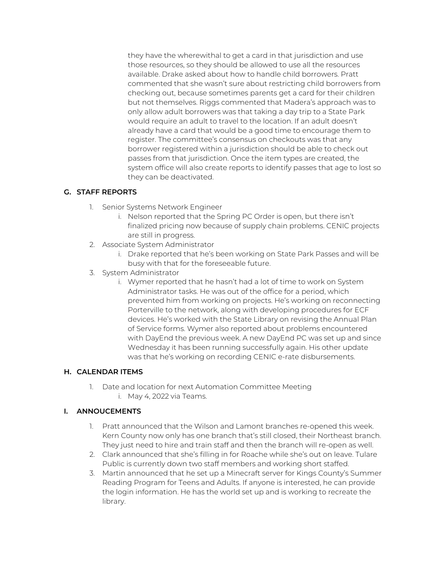they have the wherewithal to get a card in that jurisdiction and use those resources, so they should be allowed to use all the resources available. Drake asked about how to handle child borrowers. Pratt commented that she wasn't sure about restricting child borrowers from checking out, because sometimes parents get a card for their children but not themselves. Riggs commented that Madera's approach was to only allow adult borrowers was that taking a day trip to a State Park would require an adult to travel to the location. If an adult doesn't already have a card that would be a good time to encourage them to register. The committee's consensus on checkouts was that any borrower registered within a jurisdiction should be able to check out passes from that jurisdiction. Once the item types are created, the system office will also create reports to identify passes that age to lost so they can be deactivated.

## **G. STAFF REPORTS**

- 1. Senior Systems Network Engineer
	- i. Nelson reported that the Spring PC Order is open, but there isn't finalized pricing now because of supply chain problems. CENIC projects are still in progress.
- 2. Associate System Administrator
	- i. Drake reported that he's been working on State Park Passes and will be busy with that for the foreseeable future.
- 3. System Administrator
	- i. Wymer reported that he hasn't had a lot of time to work on System Administrator tasks. He was out of the office for a period, which prevented him from working on projects. He's working on reconnecting Porterville to the network, along with developing procedures for ECF devices. He's worked with the State Library on revising the Annual Plan of Service forms. Wymer also reported about problems encountered with DayEnd the previous week. A new DayEnd PC was set up and since Wednesday it has been running successfully again. His other update was that he's working on recording CENIC e-rate disbursements.

#### **H. CALENDAR ITEMS**

1. Date and location for next Automation Committee Meeting i. May 4, 2022 via Teams.

#### **I. ANNOUCEMENTS**

- 1. Pratt announced that the Wilson and Lamont branches re-opened this week. Kern County now only has one branch that's still closed, their Northeast branch. They just need to hire and train staff and then the branch will re-open as well.
- 2. Clark announced that she's filling in for Roache while she's out on leave. Tulare Public is currently down two staff members and working short staffed.
- 3. Martin announced that he set up a Minecraft server for Kings County's Summer Reading Program for Teens and Adults. If anyone is interested, he can provide the login information. He has the world set up and is working to recreate the library.